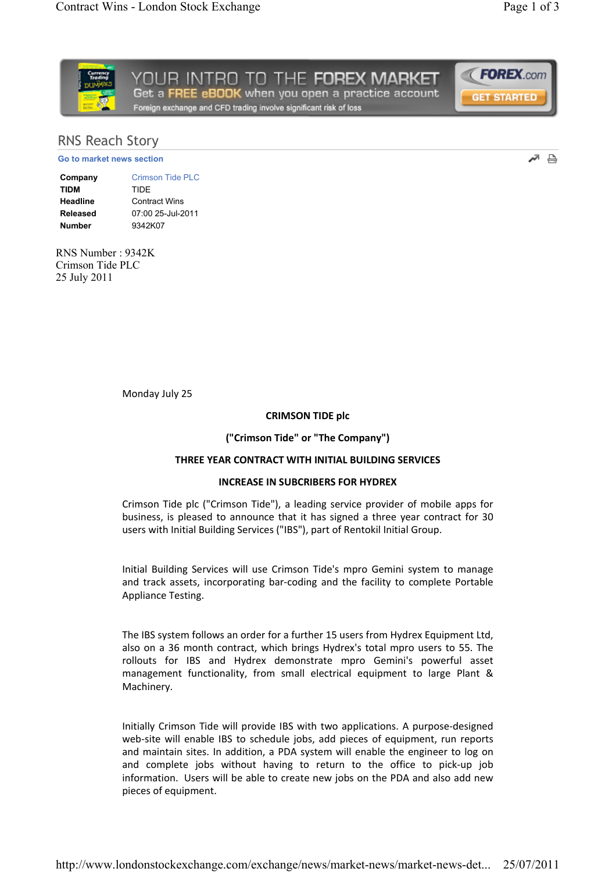اتد 흡



# RNS Reach Story

Go to market news section

Company Crimson Tide PLC TIDM TIDE Headline Contract Wins Released 07:00 25-Jul-2011 Number 0342K07

RNS Number : 9342K Crimson Tide PLC 25 July 2011

Monday July 25

### CRIMSON TIDE plc

### ("Crimson Tide" or "The Company")

## THREE YEAR CONTRACT WITH INITIAL BUILDING SERVICES

### INCREASE IN SUBCRIBERS FOR HYDREX

Crimson Tide plc ("Crimson Tide"), a leading service provider of mobile apps for business, is pleased to announce that it has signed a three year contract for 30 users with Initial Building Services ("IBS"), part of Rentokil Initial Group.

Initial Building Services will use Crimson Tide's mpro Gemini system to manage and track assets, incorporating bar-coding and the facility to complete Portable Appliance Testing.

The IBS system follows an order for a further 15 users from Hydrex Equipment Ltd, also on a 36 month contract, which brings Hydrex's total mpro users to 55. The rollouts for IBS and Hydrex demonstrate mpro Gemini's powerful asset management functionality, from small electrical equipment to large Plant & Machinery.

Initially Crimson Tide will provide IBS with two applications. A purposedesigned web-site will enable IBS to schedule jobs, add pieces of equipment, run reports and maintain sites. In addition, a PDA system will enable the engineer to log on and complete jobs without having to return to the office to pick-up job information. Users will be able to create new jobs on the PDA and also add new pieces of equipment.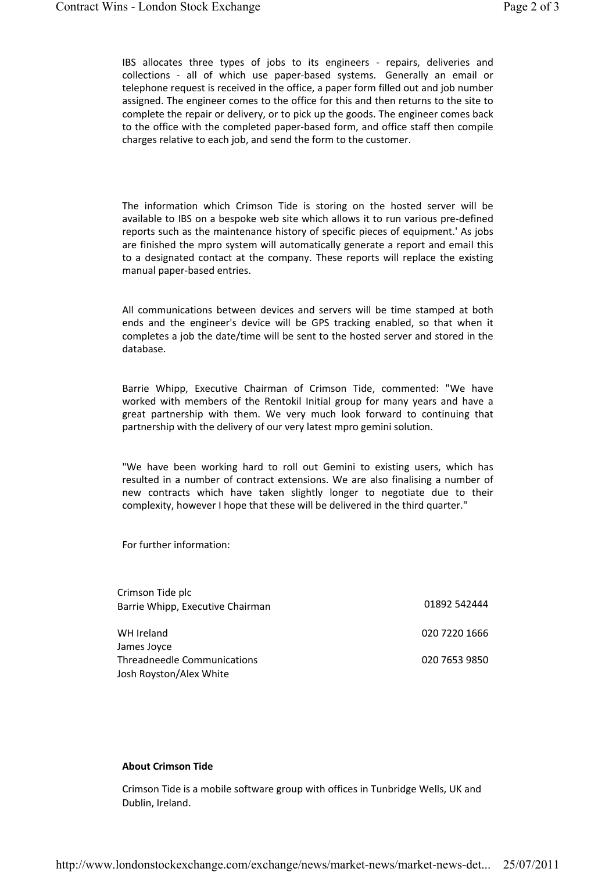IBS allocates three types of jobs to its engineers - repairs, deliveries and collections - all of which use paper-based systems. Generally an email or telephone request is received in the office, a paper form filled out and job number assigned. The engineer comes to the office for this and then returns to the site to complete the repair or delivery, or to pick up the goods. The engineer comes back to the office with the completed paper-based form, and office staff then compile charges relative to each job, and send the form to the customer.

The information which Crimson Tide is storing on the hosted server will be available to IBS on a bespoke web site which allows it to run various pre-defined reports such as the maintenance history of specific pieces of equipment.' As jobs are finished the mpro system will automatically generate a report and email this to a designated contact at the company. These reports will replace the existing manual paper-based entries.

All communications between devices and servers will be time stamped at both ends and the engineer's device will be GPS tracking enabled, so that when it completes a job the date/time will be sent to the hosted server and stored in the database.

Barrie Whipp, Executive Chairman of Crimson Tide, commented: "We have worked with members of the Rentokil Initial group for many years and have a great partnership with them. We very much look forward to continuing that partnership with the delivery of our very latest mpro gemini solution.

"We have been working hard to roll out Gemini to existing users, which has resulted in a number of contract extensions. We are also finalising a number of new contracts which have taken slightly longer to negotiate due to their complexity, however I hope that these will be delivered in the third quarter."

For further information:

| Crimson Tide plc<br>Barrie Whipp, Executive Chairman | 01892 542444  |
|------------------------------------------------------|---------------|
| WH Ireland                                           | 020 7220 1666 |
| James Joyce<br>Threadneedle Communications           | 020 7653 9850 |
| Josh Royston/Alex White                              |               |

#### About Crimson Tide

Crimson Tide is a mobile software group with offices in Tunbridge Wells, UK and Dublin, Ireland.